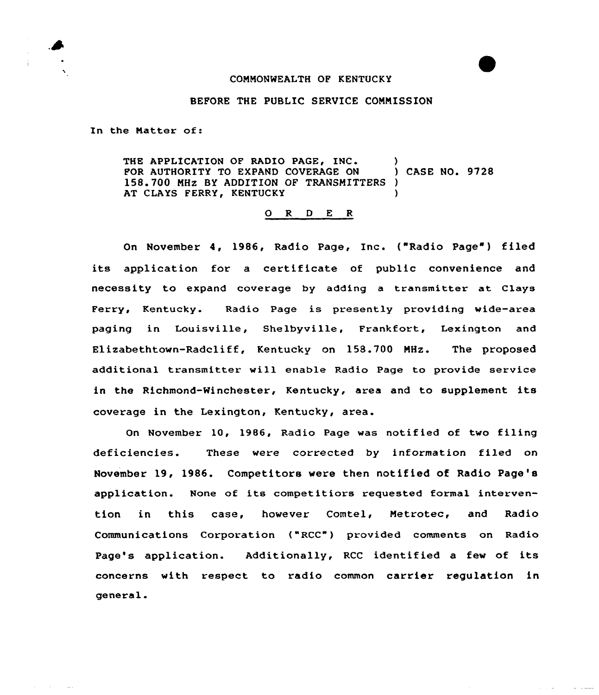## COMMONWEALTH OF KENTUCKY

## BEFORE THE PUBLIC SERVICE COMMISSION

In the Natter of:

THE APPLICATION OF RADIO PAGE, INC. (2008)<br>FOR AUTHORITY TO EXPAND COVERAGE ON (2008) CASE NO. 9728 FOR AUTHORITY TO EXPAND COVERAGE ON 158.700 MHz BY ADDITION OF TRANSMITTERS )<br>AT CLAYS FERRY, KENTUCKY AT CLAYS FERRY, KENTUCKY

## 0 <sup>R</sup> <sup>D</sup> <sup>E</sup> <sup>R</sup>

On November 4, 1986, Radio Page, Inc. ("Radio Page") filed its application for a certificate of public convenience and necessity to expand coverage by adding a transmitter at Clays Ferry, Kentucky. Radio Page is presently providing wide-area paging in Louisville, Shelbyville, Frankfort, Lexington and Elizabethtown-Radcliff, Kentucky on 158.700 MHz. The proposed additional transmitter will enable Radio Page to provide service in the Richmond-Minchester, Kentucky, area and to supplement its coverage in the Lexington, Kentucky, area.

On November 10, 1986, Radio Page was notified of two filing deficiencies. These were corrected by information filed on November 19, 1986. Competitors were then notified of Radio Page's application. None of its competitiors requested formal intervention in this case, however Comtel, Metrotec, and Radio Communications Corporation ("RCC") provided comments on Radio Page's application. Additionally, RCC identified a few of its concerns with respect to radio common carrier regulation in general.

القارب

 $\omega$  ,  $\omega$  ,  $\omega$  ,  $\omega$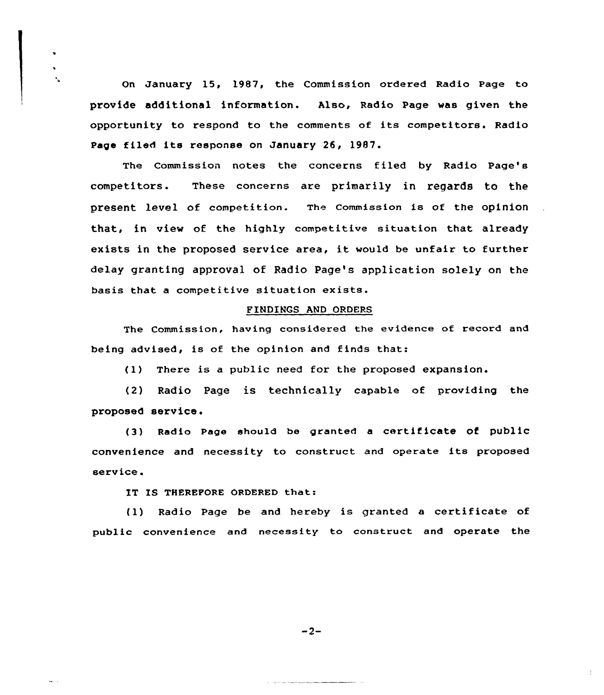On January 15, 1987, the Commission ordered Radio Page to provide additional information. Also, Radio Page was given the opportunity to respond to the comments of its competitors. Radio Page filed its response on January 26, 1987.

The Commission notes the concerns filed by Radio Page's competitors. These concerns are primarily in regards to the present level of competition. The commission is of the opinion that, in view of the highly competitive situation that already exists in the proposed service area, it would be unfair to further delay granting approval of Radio page's application solely on the basis that <sup>a</sup> competitive situation exists.

## FINDINGS AND ORDERS

The Commission, having considered the evidence of record and being advised, is of the opinion and finds that:

{1) There is <sup>a</sup> public need for the proposed expansion.

(2) Radio Page is technically capable of providing the proposed service.

{3) Radio page should be granted <sup>a</sup> certificate of public convenience and necessity to construct and operate its proposed service.

IT IS THEREFORE ORDERED that:

 $\mathbf{r}_\mathrm{a}$ 

{1) Radio Page be and hereby is granted <sup>a</sup> certificate of public convenience and necessity to construct and operate the

 $-2-$